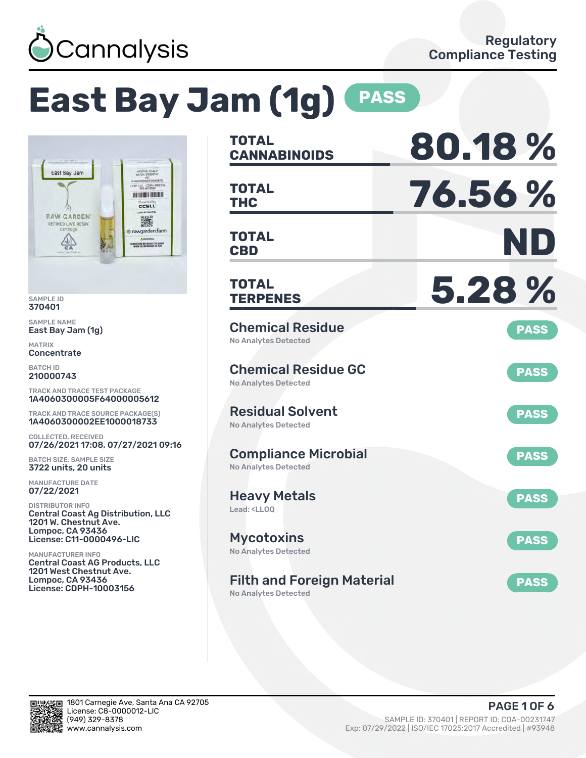

# **East Bay Jam (1g) PASS**



SAMPLE ID 370401

SAMPLE NAME East Bay Jam (1g)

MATRIX **Concentrate** 

BATCH ID 210000743

TRACK AND TRACE TEST PACKAGE 1A4060300005F64000005612

TRACK AND TRACE SOURCE PACKAGE(S) 1A4060300002EE1000018733

COLLECTED, RECEIVED 07/26/2021 17:08, 07/27/2021 09:16

BATCH SIZE, SAMPLE SIZE 3722 units, 20 units

MANUFACTURE DATE 07/22/2021

DISTRIBUTOR INFO Central Coast Ag Distribution, LLC 1201 W. Chestnut Ave. Lompoc, CA 93436 License: C11-0000496-LIC

MANUFACTURER INFO Central Coast AG Products, LLC 1201 West Chestnut Ave. Lompoc, CA 93436 License: CDPH-10003156

| <b>TOTAL</b><br><b>CANNABINOIDS</b>                                    | 80.18%      |
|------------------------------------------------------------------------|-------------|
| <b>TOTAL</b><br>THC                                                    | 76.56%      |
| <b>TOTAL</b><br><b>CBD</b>                                             | ND          |
| <b>TOTAL</b><br><b>TERPENES</b>                                        | 5.28%       |
| <b>Chemical Residue</b><br><b>No Analytes Detected</b>                 | <b>PASS</b> |
| <b>Chemical Residue GC</b><br><b>No Analytes Detected</b>              | <b>PASS</b> |
| <b>Residual Solvent</b><br><b>No Analytes Detected</b>                 | <b>PASS</b> |
| <b>Compliance Microbial</b><br>No Analytes Detected                    | <b>PASS</b> |
| <b>Heavy Metals</b><br>Lead: <ll00< td=""><td><b>PASS</b></td></ll00<> | <b>PASS</b> |
| <b>Mycotoxins</b><br>No Analytes Detected                              | <b>PASS</b> |
| <b>Filth and Foreign Material</b><br><b>No Analytes Detected</b>       | <b>PASS</b> |

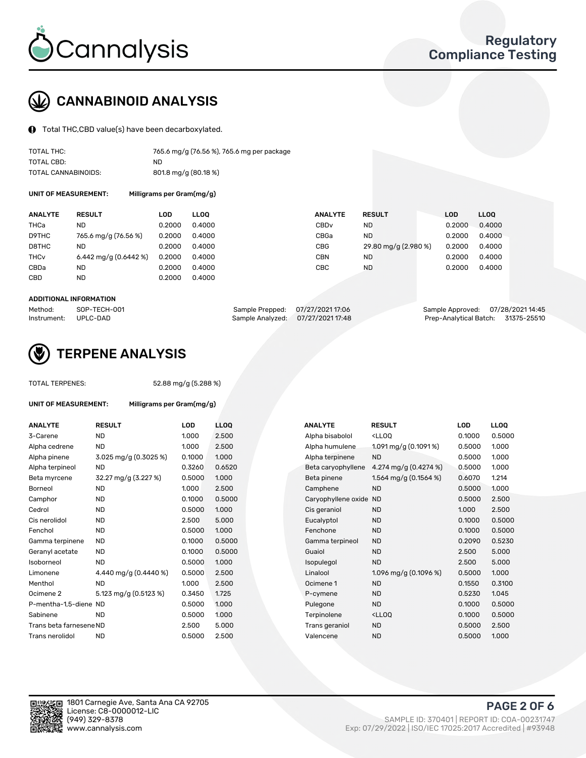

# CANNABINOID ANALYSIS

Total THC,CBD value(s) have been decarboxylated.

| TOTAL THC:          | 765.6 mg/g (76.56 %), 765.6 mg per package |
|---------------------|--------------------------------------------|
| TOTAL CBD:          | ND.                                        |
| TOTAL CANNABINOIDS: | 801.8 mg/g (80.18 %)                       |

UNIT OF MEASUREMENT: Milligrams per Gram(mg/g)

| <b>ANALYTE</b>         | <b>RESULT</b>          | LOD    | <b>LLOO</b> | <b>ANALYTE</b>   | <b>RESULT</b>        | LOD    | <b>LLOO</b> |
|------------------------|------------------------|--------|-------------|------------------|----------------------|--------|-------------|
| THCa                   | ND                     | 0.2000 | 0.4000      | CBD <sub>v</sub> | ND.                  | 0.2000 | 0.4000      |
| D9THC                  | 765.6 mg/g (76.56 %)   | 0.2000 | 0.4000      | CBGa             | <b>ND</b>            | 0.2000 | 0.4000      |
| D8THC                  | <b>ND</b>              | 0.2000 | 0.4000      | CBG              | 29.80 mg/g (2.980 %) | 0.2000 | 0.4000      |
| <b>THC<sub>v</sub></b> | 6.442 mg/g $(0.6442%)$ | 0.2000 | 0.4000      | CBN              | <b>ND</b>            | 0.2000 | 0.4000      |
| CBDa                   | ND                     | 0.2000 | 0.4000      | CBC              | <b>ND</b>            | 0.2000 | 0.4000      |
| CBD                    | <b>ND</b>              | 0.2000 | 0.4000      |                  |                      |        |             |

#### ADDITIONAL INFORMATION

| Method:              | SOP-TECH-001 | Sample Prepped: 07/27/2021 17:06  | Sample Approved: 07/28/202114:45   |  |
|----------------------|--------------|-----------------------------------|------------------------------------|--|
| Instrument: UPLC-DAD |              | Sample Analyzed: 07/27/2021 17:48 | Prep-Analytical Batch: 31375-25510 |  |



## TERPENE ANALYSIS

TOTAL TERPENES: 52.88 mg/g (5.288 %)

| UNIT OF MEASUREMENT:    | Milligrams per Gram(mg/g)          |        |      |
|-------------------------|------------------------------------|--------|------|
| <b>ANALYTE</b>          | <b>RESULT</b>                      | LOD    | LLC  |
| 3-Carene                | <b>ND</b>                          | 1.000  | 2.5  |
| Alpha cedrene           | ND.                                | 1.000  | 2.5  |
| Alpha pinene            | $3.025 \,\mathrm{mq/q}$ (0.3025 %) | 0.1000 | 1.0( |
| Alpha terpineol         | <b>ND</b>                          | 0.3260 | 0.6  |
| Beta myrcene            | 32.27 mg/g (3.227 %)               | 0.5000 | 1.0( |
| Borneol                 | <b>ND</b>                          | 1.000  | 2.5  |
| Camphor                 | <b>ND</b>                          | 0.1000 | 0.5  |
| Cedrol                  | <b>ND</b>                          | 0.5000 | 1.0( |
| Cis nerolidol           | <b>ND</b>                          | 2.500  | 5.0  |
| Fenchol                 | ND.                                | 0.5000 | 1.0( |
| Gamma terpinene         | ND.                                | 0.1000 | 0.5  |
| Geranyl acetate         | ND                                 | 0.1000 | 0.5  |
| Isoborneol              | <b>ND</b>                          | 0.5000 | 1.0( |
| Limonene                | 4.440 mg/g (0.4440 %)              | 0.5000 | 2.5  |
| Menthol                 | <b>ND</b>                          | 1.000  | 2.5  |
| Ocimene 2               | 5.123 mg/g (0.5123 %)              | 0.3450 | 1.72 |
| P-mentha-1,5-diene ND   |                                    | 0.5000 | 1.0( |
| Sabinene                | ND                                 | 0.5000 | 1.0( |
| Trans beta farnesene ND |                                    | 2.500  | 5.0  |
| Trans nerolidol         | ND                                 | 0.5000 | 2.5  |
|                         |                                    |        |      |

| ANALYTE                 | <b>RESULT</b>         | <b>LOD</b> | <b>LLOQ</b> | <b>ANALYTE</b>         | <b>RESULT</b>                                       | <b>LOD</b> | <b>LLOQ</b> |
|-------------------------|-----------------------|------------|-------------|------------------------|-----------------------------------------------------|------------|-------------|
| 3-Carene                | <b>ND</b>             | 1.000      | 2.500       | Alpha bisabolol        | <lloq< td=""><td>0.1000</td><td>0.5000</td></lloq<> | 0.1000     | 0.5000      |
| Alpha cedrene           | <b>ND</b>             | 1.000      | 2.500       | Alpha humulene         | 1.091 mg/g (0.1091 %)                               | 0.5000     | 1.000       |
| Alpha pinene            | 3.025 mg/g (0.3025 %) | 0.1000     | 1.000       | Alpha terpinene        | <b>ND</b>                                           | 0.5000     | 1.000       |
| Alpha terpineol         | ND                    | 0.3260     | 0.6520      | Beta caryophyllene     | 4.274 mg/g $(0.4274\%)$                             | 0.5000     | 1.000       |
| Beta myrcene            | 32.27 mg/g (3.227 %)  | 0.5000     | 1.000       | Beta pinene            | 1.564 mg/g $(0.1564\%)$                             | 0.6070     | 1.214       |
| Borneol                 | <b>ND</b>             | 1.000      | 2.500       | Camphene               | <b>ND</b>                                           | 0.5000     | 1.000       |
| Camphor                 | <b>ND</b>             | 0.1000     | 0.5000      | Caryophyllene oxide ND |                                                     | 0.5000     | 2.500       |
| Cedrol                  | <b>ND</b>             | 0.5000     | 1.000       | Cis geraniol           | <b>ND</b>                                           | 1.000      | 2.500       |
| Cis nerolidol           | ND                    | 2.500      | 5.000       | Eucalyptol             | <b>ND</b>                                           | 0.1000     | 0.5000      |
| Fenchol                 | <b>ND</b>             | 0.5000     | 1.000       | Fenchone               | <b>ND</b>                                           | 0.1000     | 0.5000      |
| Gamma terpinene         | <b>ND</b>             | 0.1000     | 0.5000      | Gamma terpineol        | <b>ND</b>                                           | 0.2090     | 0.5230      |
| Geranyl acetate         | ND                    | 0.1000     | 0.5000      | Guaiol                 | <b>ND</b>                                           | 2.500      | 5.000       |
| Isoborneol              | <b>ND</b>             | 0.5000     | 1.000       | Isopulegol             | <b>ND</b>                                           | 2.500      | 5.000       |
| Limonene                | 4.440 mg/g (0.4440 %) | 0.5000     | 2.500       | Linalool               | 1.096 mg/g $(0.1096\%)$                             | 0.5000     | 1.000       |
| Menthol                 | <b>ND</b>             | 1.000      | 2.500       | Ocimene 1              | <b>ND</b>                                           | 0.1550     | 0.3100      |
| Ocimene 2               | 5.123 mg/g (0.5123 %) | 0.3450     | 1.725       | P-cymene               | <b>ND</b>                                           | 0.5230     | 1.045       |
| P-mentha-1,5-diene ND   |                       | 0.5000     | 1.000       | Pulegone               | <b>ND</b>                                           | 0.1000     | 0.5000      |
| Sabinene                | <b>ND</b>             | 0.5000     | 1.000       | Terpinolene            | <lloq< td=""><td>0.1000</td><td>0.5000</td></lloq<> | 0.1000     | 0.5000      |
| Trans beta farnesene ND |                       | 2.500      | 5.000       | Trans geraniol         | <b>ND</b>                                           | 0.5000     | 2.500       |
| Trans nerolidol         | <b>ND</b>             | 0.5000     | 2.500       | Valencene              | <b>ND</b>                                           | 0.5000     | 1.000       |



PAGE 2 OF 6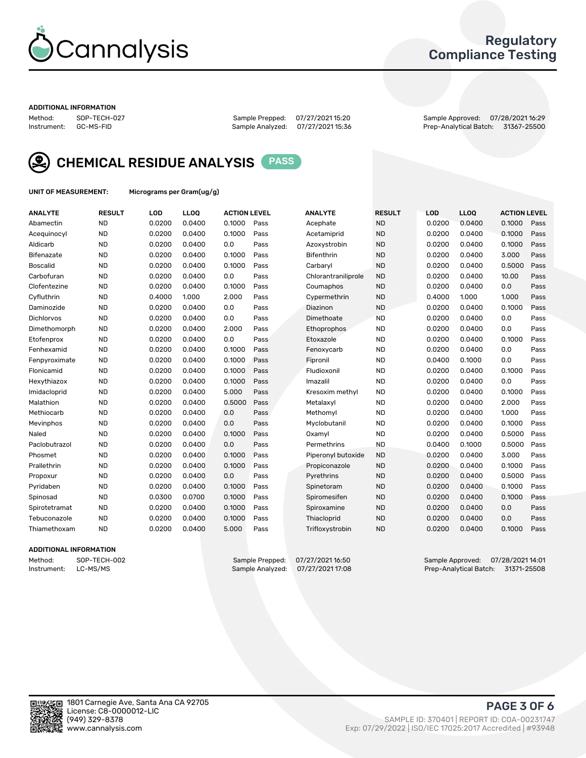

### Regulatory Compliance Testing

#### ADDITIONAL INFORMATION

Method: SOP-TECH-027 Sample Prepped: 07/27/2021 15:20 Sample Approved: 07/28/2021 16:29 Prep-Analytical Batch: 31367-25500



CHEMICAL RESIDUE ANALYSIS PASS

UNIT OF MEASUREMENT: Micrograms per Gram(ug/g)

| <b>ANALYTE</b>    | <b>RESULT</b> | LOD    | LL <sub>OO</sub> | <b>ACTION LEVEL</b> |      | <b>ANALYTE</b>      | <b>RESULT</b> | <b>LOD</b> | <b>LLOQ</b> | <b>ACTION LEVEL</b> |      |
|-------------------|---------------|--------|------------------|---------------------|------|---------------------|---------------|------------|-------------|---------------------|------|
| Abamectin         | <b>ND</b>     | 0.0200 | 0.0400           | 0.1000              | Pass | Acephate            | <b>ND</b>     | 0.0200     | 0.0400      | 0.1000              | Pass |
| Acequinocyl       | <b>ND</b>     | 0.0200 | 0.0400           | 0.1000              | Pass | Acetamiprid         | <b>ND</b>     | 0.0200     | 0.0400      | 0.1000              | Pass |
| Aldicarb          | <b>ND</b>     | 0.0200 | 0.0400           | 0.0                 | Pass | Azoxystrobin        | <b>ND</b>     | 0.0200     | 0.0400      | 0.1000              | Pass |
| Bifenazate        | <b>ND</b>     | 0.0200 | 0.0400           | 0.1000              | Pass | <b>Bifenthrin</b>   | <b>ND</b>     | 0.0200     | 0.0400      | 3.000               | Pass |
| <b>Boscalid</b>   | <b>ND</b>     | 0.0200 | 0.0400           | 0.1000              | Pass | Carbaryl            | <b>ND</b>     | 0.0200     | 0.0400      | 0.5000              | Pass |
| Carbofuran        | <b>ND</b>     | 0.0200 | 0.0400           | 0.0                 | Pass | Chlorantraniliprole | <b>ND</b>     | 0.0200     | 0.0400      | 10.00               | Pass |
| Clofentezine      | <b>ND</b>     | 0.0200 | 0.0400           | 0.1000              | Pass | Coumaphos           | <b>ND</b>     | 0.0200     | 0.0400      | 0.0                 | Pass |
| Cyfluthrin        | <b>ND</b>     | 0.4000 | 1.000            | 2.000               | Pass | Cypermethrin        | <b>ND</b>     | 0.4000     | 1.000       | 1.000               | Pass |
| Daminozide        | <b>ND</b>     | 0.0200 | 0.0400           | 0.0                 | Pass | Diazinon            | <b>ND</b>     | 0.0200     | 0.0400      | 0.1000              | Pass |
| <b>Dichlorvos</b> | <b>ND</b>     | 0.0200 | 0.0400           | 0.0                 | Pass | Dimethoate          | <b>ND</b>     | 0.0200     | 0.0400      | 0.0                 | Pass |
| Dimethomorph      | <b>ND</b>     | 0.0200 | 0.0400           | 2.000               | Pass | Ethoprophos         | <b>ND</b>     | 0.0200     | 0.0400      | 0.0                 | Pass |
| Etofenprox        | <b>ND</b>     | 0.0200 | 0.0400           | 0.0                 | Pass | Etoxazole           | <b>ND</b>     | 0.0200     | 0.0400      | 0.1000              | Pass |
| Fenhexamid        | <b>ND</b>     | 0.0200 | 0.0400           | 0.1000              | Pass | Fenoxycarb          | <b>ND</b>     | 0.0200     | 0.0400      | 0.0                 | Pass |
| Fenpyroximate     | <b>ND</b>     | 0.0200 | 0.0400           | 0.1000              | Pass | Fipronil            | <b>ND</b>     | 0.0400     | 0.1000      | 0.0                 | Pass |
| Flonicamid        | <b>ND</b>     | 0.0200 | 0.0400           | 0.1000              | Pass | Fludioxonil         | <b>ND</b>     | 0.0200     | 0.0400      | 0.1000              | Pass |
| Hexythiazox       | <b>ND</b>     | 0.0200 | 0.0400           | 0.1000              | Pass | Imazalil            | <b>ND</b>     | 0.0200     | 0.0400      | 0.0                 | Pass |
| Imidacloprid      | <b>ND</b>     | 0.0200 | 0.0400           | 5.000               | Pass | Kresoxim methyl     | <b>ND</b>     | 0.0200     | 0.0400      | 0.1000              | Pass |
| Malathion         | <b>ND</b>     | 0.0200 | 0.0400           | 0.5000              | Pass | Metalaxyl           | <b>ND</b>     | 0.0200     | 0.0400      | 2.000               | Pass |
| Methiocarb        | <b>ND</b>     | 0.0200 | 0.0400           | 0.0                 | Pass | Methomyl            | <b>ND</b>     | 0.0200     | 0.0400      | 1.000               | Pass |
| Mevinphos         | <b>ND</b>     | 0.0200 | 0.0400           | 0.0                 | Pass | Myclobutanil        | <b>ND</b>     | 0.0200     | 0.0400      | 0.1000              | Pass |
| Naled             | <b>ND</b>     | 0.0200 | 0.0400           | 0.1000              | Pass | Oxamyl              | <b>ND</b>     | 0.0200     | 0.0400      | 0.5000              | Pass |
| Paclobutrazol     | <b>ND</b>     | 0.0200 | 0.0400           | 0.0                 | Pass | Permethrins         | <b>ND</b>     | 0.0400     | 0.1000      | 0.5000              | Pass |
| Phosmet           | <b>ND</b>     | 0.0200 | 0.0400           | 0.1000              | Pass | Piperonyl butoxide  | <b>ND</b>     | 0.0200     | 0.0400      | 3.000               | Pass |
| Prallethrin       | <b>ND</b>     | 0.0200 | 0.0400           | 0.1000              | Pass | Propiconazole       | <b>ND</b>     | 0.0200     | 0.0400      | 0.1000              | Pass |
| Propoxur          | <b>ND</b>     | 0.0200 | 0.0400           | 0.0                 | Pass | Pyrethrins          | <b>ND</b>     | 0.0200     | 0.0400      | 0.5000              | Pass |
| Pyridaben         | <b>ND</b>     | 0.0200 | 0.0400           | 0.1000              | Pass | Spinetoram          | <b>ND</b>     | 0.0200     | 0.0400      | 0.1000              | Pass |
| Spinosad          | <b>ND</b>     | 0.0300 | 0.0700           | 0.1000              | Pass | Spiromesifen        | <b>ND</b>     | 0.0200     | 0.0400      | 0.1000              | Pass |
| Spirotetramat     | <b>ND</b>     | 0.0200 | 0.0400           | 0.1000              | Pass | Spiroxamine         | <b>ND</b>     | 0.0200     | 0.0400      | 0.0                 | Pass |
| Tebuconazole      | <b>ND</b>     | 0.0200 | 0.0400           | 0.1000              | Pass | Thiacloprid         | <b>ND</b>     | 0.0200     | 0.0400      | 0.0                 | Pass |
| Thiamethoxam      | <b>ND</b>     | 0.0200 | 0.0400           | 5.000               | Pass | Trifloxystrobin     | <b>ND</b>     | 0.0200     | 0.0400      | 0.1000              | Pass |
|                   |               |        |                  |                     |      |                     |               |            |             |                     |      |

#### ADDITIONAL INFORMATION

Method: SOP-TECH-002 Sample Prepped: 07/27/202116:50 Sample Approved: 07/28/2021 14:01<br>Instrument: LC-MS/MS Sample Analyzed: 07/27/2021 17:08 Prep-Analytical Batch: 31371-25508 Prep-Analytical Batch: 31371-25508

PAGE 3 OF 6

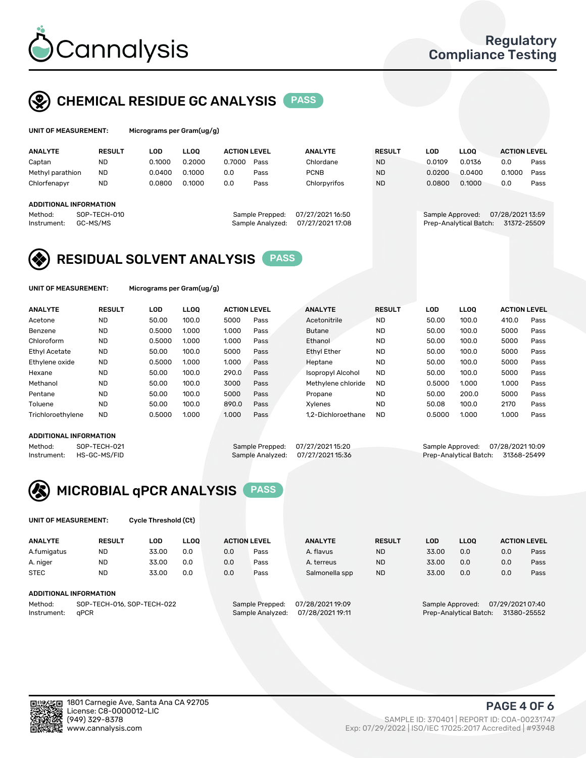

## CHEMICAL RESIDUE GC ANALYSIS PASS

| UNIT OF MEASUREMENT: | Micrograms pe |
|----------------------|---------------|
|                      |               |

er Gram(ug/g)

| <b>ANALYTE</b>         | <b>RESULT</b>            | LOD    | <b>LLOO</b> | <b>ACTION LEVEL</b> |                                     | <b>ANALYTE</b>                       | <b>RESULT</b> | LOD              | <b>LLOO</b>            | <b>ACTION LEVEL</b>             |      |
|------------------------|--------------------------|--------|-------------|---------------------|-------------------------------------|--------------------------------------|---------------|------------------|------------------------|---------------------------------|------|
| Captan                 | <b>ND</b>                | 0.1000 | 0.2000      | 0.7000              | Pass                                | Chlordane                            | <b>ND</b>     | 0.0109           | 0.0136                 | 0.0                             | Pass |
| Methyl parathion       | <b>ND</b>                | 0.0400 | 0.1000      | 0.0                 | Pass                                | <b>PCNB</b>                          | <b>ND</b>     | 0.0200           | 0.0400                 | 0.1000                          | Pass |
| Chlorfenapyr           | <b>ND</b>                | 0.0800 | 0.1000      | 0.0                 | Pass                                | Chlorpyrifos                         | <b>ND</b>     | 0.0800           | 0.1000                 | 0.0                             | Pass |
| ADDITIONAL INFORMATION |                          |        |             |                     |                                     |                                      |               |                  |                        |                                 |      |
| Method:<br>Instrument: | SOP-TECH-010<br>GC-MS/MS |        |             |                     | Sample Prepped:<br>Sample Analyzed: | 07/27/2021 16:50<br>07/27/2021 17:08 |               | Sample Approved: | Prep-Analytical Batch: | 07/28/2021 13:59<br>31372-25509 |      |

## RESIDUAL SOLVENT ANALYSIS PASS

UNIT OF MEASUREMENT: Micrograms per Gram(ug/g)

| <b>ANALYTE</b>       | <b>RESULT</b> | <b>LOD</b> | <b>LLOO</b> | <b>ACTION LEVEL</b> |      | <b>ANALYTE</b>     | <b>RESULT</b> | LOD    | <b>LLOO</b> | <b>ACTION LEVEL</b> |      |
|----------------------|---------------|------------|-------------|---------------------|------|--------------------|---------------|--------|-------------|---------------------|------|
| Acetone              | <b>ND</b>     | 50.00      | 100.0       | 5000                | Pass | Acetonitrile       | <b>ND</b>     | 50.00  | 100.0       | 410.0               | Pass |
| Benzene              | <b>ND</b>     | 0.5000     | 1.000       | 1.000               | Pass | <b>Butane</b>      | <b>ND</b>     | 50.00  | 100.0       | 5000                | Pass |
| Chloroform           | <b>ND</b>     | 0.5000     | 1.000       | 1.000               | Pass | Ethanol            | <b>ND</b>     | 50.00  | 100.0       | 5000                | Pass |
| <b>Ethyl Acetate</b> | <b>ND</b>     | 50.00      | 100.0       | 5000                | Pass | <b>Ethyl Ether</b> | <b>ND</b>     | 50.00  | 100.0       | 5000                | Pass |
| Ethylene oxide       | <b>ND</b>     | 0.5000     | 1.000       | 1.000               | Pass | Heptane            | <b>ND</b>     | 50.00  | 100.0       | 5000                | Pass |
| Hexane               | <b>ND</b>     | 50.00      | 100.0       | 290.0               | Pass | Isopropyl Alcohol  | <b>ND</b>     | 50.00  | 100.0       | 5000                | Pass |
| Methanol             | <b>ND</b>     | 50.00      | 100.0       | 3000                | Pass | Methylene chloride | <b>ND</b>     | 0.5000 | 1.000       | 1.000               | Pass |
| Pentane              | <b>ND</b>     | 50.00      | 100.0       | 5000                | Pass | Propane            | <b>ND</b>     | 50.00  | 200.0       | 5000                | Pass |
| Toluene              | <b>ND</b>     | 50.00      | 100.0       | 890.0               | Pass | Xylenes            | <b>ND</b>     | 50.08  | 100.0       | 2170                | Pass |
| Trichloroethylene    | <b>ND</b>     | 0.5000     | 1.000       | 1.000               | Pass | 1.2-Dichloroethane | <b>ND</b>     | 0.5000 | 1.000       | 1.000               | Pass |

#### ADDITIONAL INFORMATION

Method: SOP-TECH-021 Sample Prepped: 07/27/2021 15:20 Sample Approved: 07/28/2021 10:09<br>Instrument: HS-GC-MS/FID Sample Analyzed: 07/27/2021 15:36 Prep-Analytical Batch: 31368-25499 Prep-Analytical Batch: 31368-25499



UNIT OF MEASUREMENT: Cycle Threshold (Ct)

| <b>ANALYTE</b> | <b>RESULT</b>              | LOD   | <b>LLOO</b> |     | <b>ACTION LEVEL</b> | <b>ANALYTE</b>   | <b>RESULT</b> | LOD              | LL <sub>00</sub> |                  | <b>ACTION LEVEL</b> |
|----------------|----------------------------|-------|-------------|-----|---------------------|------------------|---------------|------------------|------------------|------------------|---------------------|
| A.fumigatus    | <b>ND</b>                  | 33.00 | 0.0         | 0.0 | Pass                | A. flavus        | <b>ND</b>     | 33.00            | 0.0              | 0.0              | Pass                |
| A. niger       | <b>ND</b>                  | 33.00 | 0.0         | 0.0 | Pass                | A. terreus       | <b>ND</b>     | 33.00            | 0.0              | 0.0              | Pass                |
| <b>STEC</b>    | <b>ND</b>                  | 33.00 | 0.0         | 0.0 | Pass                | Salmonella spp   | <b>ND</b>     | 33.00            | 0.0              | 0.0              | Pass                |
|                | ADDITIONAL INFORMATION     |       |             |     |                     |                  |               |                  |                  |                  |                     |
| Method:        | SOP-TECH-016, SOP-TECH-022 |       |             |     | Sample Prepped:     | 07/28/2021 19:09 |               | Sample Approved: |                  | 07/29/2021 07:40 |                     |

Instrument: qPCR Sample Analyzed: 07/28/2021 19:11 Prep-Analytical Batch: 31380-25552

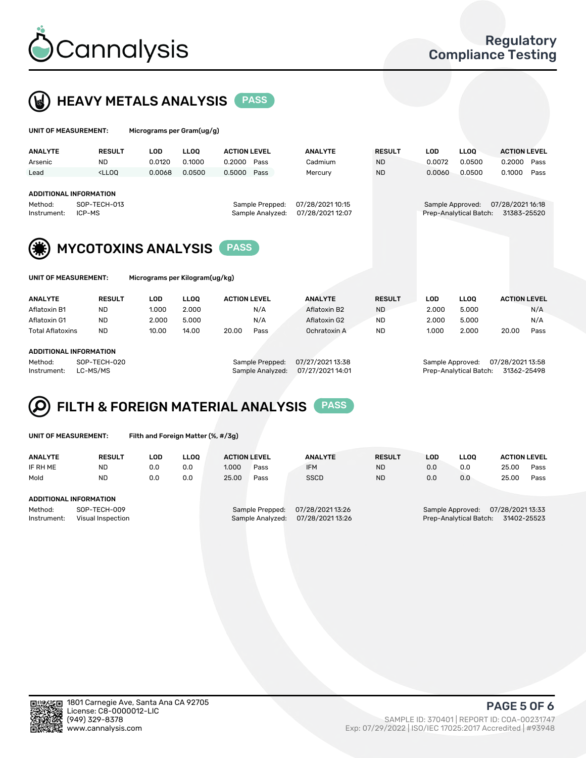



| UNIT OF MEASUREMENT:                                              |                                                                                                                                                                         | Micrograms per Gram(ug/g)      |             |                                     |                                      |               |                  |                        |                                 |      |
|-------------------------------------------------------------------|-------------------------------------------------------------------------------------------------------------------------------------------------------------------------|--------------------------------|-------------|-------------------------------------|--------------------------------------|---------------|------------------|------------------------|---------------------------------|------|
| <b>ANALYTE</b>                                                    | <b>RESULT</b>                                                                                                                                                           | <b>LOD</b>                     | <b>LLOO</b> | <b>ACTION LEVEL</b>                 | <b>ANALYTE</b>                       | <b>RESULT</b> | <b>LOD</b>       | LLOO <sup>1</sup>      | <b>ACTION LEVEL</b>             |      |
| Arsenic                                                           | <b>ND</b>                                                                                                                                                               | 0.0120                         | 0.1000      | 0.2000<br>Pass                      | Cadmium                              | <b>ND</b>     | 0.0072           | 0.0500                 | 0.2000                          | Pass |
| Lead                                                              | <lloo< td=""><td>0.0068</td><td>0.0500</td><td>0.5000<br/>Pass</td><td>Mercury</td><td><b>ND</b></td><td>0.0060</td><td>0.0500</td><td>0.1000</td><td>Pass</td></lloo<> | 0.0068                         | 0.0500      | 0.5000<br>Pass                      | Mercury                              | <b>ND</b>     | 0.0060           | 0.0500                 | 0.1000                          | Pass |
| <b>ADDITIONAL INFORMATION</b><br>Method:<br>ICP-MS<br>Instrument: | SOP-TECH-013                                                                                                                                                            |                                |             | Sample Prepped:<br>Sample Analyzed: | 07/28/2021 10:15<br>07/28/2021 12:07 |               | Sample Approved: | Prep-Analytical Batch: | 07/28/2021 16:18<br>31383-25520 |      |
|                                                                   |                                                                                                                                                                         | <b>MYCOTOXINS ANALYSIS</b>     |             | <b>PASS</b>                         |                                      |               |                  |                        |                                 |      |
| UNIT OF MEASUREMENT:                                              |                                                                                                                                                                         | Micrograms per Kilogram(ug/kg) |             |                                     |                                      |               |                  |                        |                                 |      |
| <b>ANALYTE</b>                                                    | <b>RESULT</b>                                                                                                                                                           | <b>LOD</b>                     | <b>LLOO</b> | <b>ACTION LEVEL</b>                 | <b>ANALYTE</b>                       | <b>RESULT</b> | <b>LOD</b>       | <b>LLOQ</b>            | <b>ACTION LEVEL</b>             |      |
| Aflatoxin B1                                                      | <b>ND</b>                                                                                                                                                               | 1.000                          | 2.000       | N/A                                 | Aflatoxin B2                         | <b>ND</b>     | 2.000            | 5.000                  |                                 | N/A  |
| Aflatoxin G1                                                      | <b>ND</b>                                                                                                                                                               | 2.000                          | 5.000       | N/A                                 | Aflatoxin G2                         | <b>ND</b>     | 2.000            | 5.000                  |                                 | N/A  |
| <b>Total Aflatoxins</b>                                           | <b>ND</b>                                                                                                                                                               | 10.00                          | 14.00       | 20.00<br>Pass                       | Ochratoxin A                         | <b>ND</b>     | 1.000            | 2.000                  | 20.00                           | Pass |

#### ADDITIONAL INFORMATION

Method: SOP-TECH-020 Sample Prepped: 07/27/2021 13:38 Sample Approved: 07/28/2021 13:58 Instrument: LC-MS/MS Sample Analyzed: 07/27/2021 14:01 Prep-Analytical Batch: 31362-25498

# FILTH & FOREIGN MATERIAL ANALYSIS PASS

UNIT OF MEASUREMENT: Filth and Foreign Matter (%, #/3g)

| <b>ANALYTE</b>                                              | <b>RESULT</b> | LOD | <b>LLOO</b> | <b>ACTION LEVEL</b> |                                     | <b>ANALYTE</b>                     | <b>RESULT</b>                                                                 | LOD | <b>LLOO</b> | <b>ACTION LEVEL</b> |      |
|-------------------------------------------------------------|---------------|-----|-------------|---------------------|-------------------------------------|------------------------------------|-------------------------------------------------------------------------------|-----|-------------|---------------------|------|
| IF RH ME                                                    | <b>ND</b>     | 0.0 | 0.0         | 1.000               | Pass                                | <b>IFM</b>                         | <b>ND</b>                                                                     | 0.0 | 0.0         | 25.00               | Pass |
| Mold                                                        | <b>ND</b>     | 0.0 | 0.0         | 25.00               | Pass                                | <b>SSCD</b>                        | <b>ND</b>                                                                     | 0.0 | 0.0         | 25.00               | Pass |
| ADDITIONAL INFORMATION                                      |               |     |             |                     |                                     |                                    |                                                                               |     |             |                     |      |
| Method:<br>SOP-TECH-009<br>Instrument:<br>Visual Inspection |               |     |             |                     | Sample Prepped:<br>Sample Analyzed: | 07/28/202113:26<br>07/28/202113:26 | 07/28/2021 13:33<br>Sample Approved:<br>31402-25523<br>Prep-Analytical Batch: |     |             |                     |      |



PAGE 5 OF 6